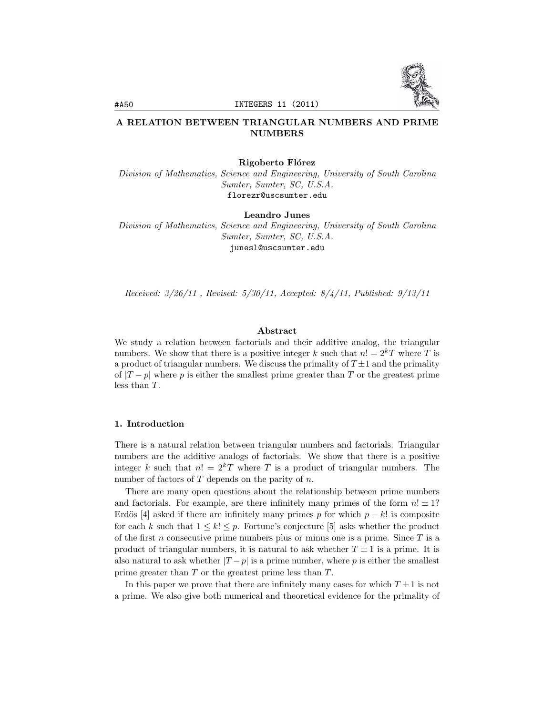

# A RELATION BETWEEN TRIANGULAR NUMBERS AND PRIME NUMBERS

#### Rigoberto Flórez

*Division of Mathematics, Science and Engineering, University of South Carolina Sumter, Sumter, SC, U.S.A.* florezr@uscsumter.edu

Leandro Junes

*Division of Mathematics, Science and Engineering, University of South Carolina Sumter, Sumter, SC, U.S.A.* junesl@uscsumter.edu

*Received: 3/26/11 , Revised: 5/30/11, Accepted: 8/4/11, Published: 9/13/11*

### Abstract

We study a relation between factorials and their additive analog, the triangular numbers. We show that there is a positive integer *k* such that  $n! = 2<sup>k</sup>T$  where *T* is a product of triangular numbers. We discuss the primality of  $T\pm 1$  and the primality of  $|T-p|$  where p is either the smallest prime greater than T or the greatest prime less than *T*.

#### 1. Introduction

There is a natural relation between triangular numbers and factorials. Triangular numbers are the additive analogs of factorials. We show that there is a positive integer *k* such that  $n! = 2^kT$  where *T* is a product of triangular numbers. The number of factors of *T* depends on the parity of *n*.

There are many open questions about the relationship between prime numbers and factorials. For example, are there infinitely many primes of the form  $n! \pm 1$ ? Erdös [4] asked if there are infinitely many primes *p* for which  $p - k!$  is composite for each *k* such that  $1 \leq k! \leq p$ . Fortune's conjecture [5] asks whether the product of the first *n* consecutive prime numbers plus or minus one is a prime. Since *T* is a product of triangular numbers, it is natural to ask whether  $T \pm 1$  is a prime. It is also natural to ask whether  $|T-p|$  is a prime number, where p is either the smallest prime greater than *T* or the greatest prime less than *T*.

In this paper we prove that there are infinitely many cases for which  $T \pm 1$  is not a prime. We also give both numerical and theoretical evidence for the primality of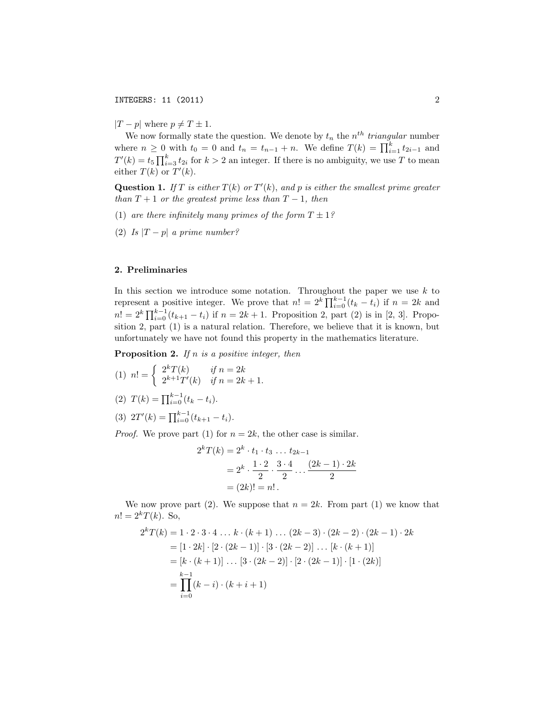*|T* − *p*| where  $p ≠ T ± 1$ .

We now formally state the question. We denote by  $t_n$  the  $n^{th}$  *triangular* number where  $n \geq 0$  with  $t_0 = 0$  and  $t_n = t_{n-1} + n$ . We define  $T(k) = \prod_{i=1}^{k} t_{2i-1}$  and  $T'(k) = t_5 \prod_{i=3}^{k} t_{2i}$  for  $k > 2$  an integer. If there is no ambiguity, we use *T* to mean either  $T(k)$  or  $T'(k)$ .

**Question 1.** If  $T$  is either  $T(k)$  or  $T'(k)$ , and  $p$  is either the smallest prime greater *than*  $T + 1$  *or the greatest prime less than*  $T - 1$ *, then* 

- (1) are there infinitely many primes of the form  $T \pm 1$ ?
- (2) *Is*  $|T-p|$  *a prime number?*

## 2. Preliminaries

In this section we introduce some notation. Throughout the paper we use *k* to represent a positive integer. We prove that  $n! = 2^k \prod_{i=0}^{k-1} (t_k - t_i)$  if  $n = 2k$  and  $n! = 2^k \prod_{i=0}^{k-1} (t_{k+1} - t_i)$  if  $n = 2k + 1$ . Proposition 2, part (2) is in [2, 3]. Proposition 2, part (1) is a natural relation. Therefore, we believe that it is known, but unfortunately we have not found this property in the mathematics literature.

Proposition 2. *If n is a positive integer, then*

 $(1)$   $n! = \begin{cases} 2^k T(k) & \text{if } n = 2k \\ 2^{k+1} T'(k) & \text{if } n = 2k \end{cases}$  $2^{k+1}T'(k)$  *if*  $n = 2k + 1$ .

(2) 
$$
T(k) = \prod_{i=0}^{k-1} (t_k - t_i).
$$

$$
(3) \t2T'(k) = \prod_{i=0}^{k-1} (t_{k+1} - t_i).
$$

*Proof.* We prove part (1) for  $n = 2k$ , the other case is similar.

$$
2^{k}T(k) = 2^{k} \cdot t_{1} \cdot t_{3} \dots t_{2k-1}
$$
  
=  $2^{k} \cdot \frac{1 \cdot 2}{2} \cdot \frac{3 \cdot 4}{2} \dots \frac{(2k-1) \cdot 2k}{2}$   
=  $(2k)! = n!$ .

We now prove part (2). We suppose that  $n = 2k$ . From part (1) we know that  $n! = 2<sup>k</sup>T(k)$ . So,

$$
2^{k}T(k) = 1 \cdot 2 \cdot 3 \cdot 4 \dots k \cdot (k+1) \dots (2k-3) \cdot (2k-2) \cdot (2k-1) \cdot 2k
$$
  
= 
$$
[1 \cdot 2k] \cdot [2 \cdot (2k-1)] \cdot [3 \cdot (2k-2)] \dots [k \cdot (k+1)]
$$
  
= 
$$
[k \cdot (k+1)] \dots [3 \cdot (2k-2)] \cdot [2 \cdot (2k-1)] \cdot [1 \cdot (2k)]
$$
  
= 
$$
\prod_{i=0}^{k-1} (k-i) \cdot (k+i+1)
$$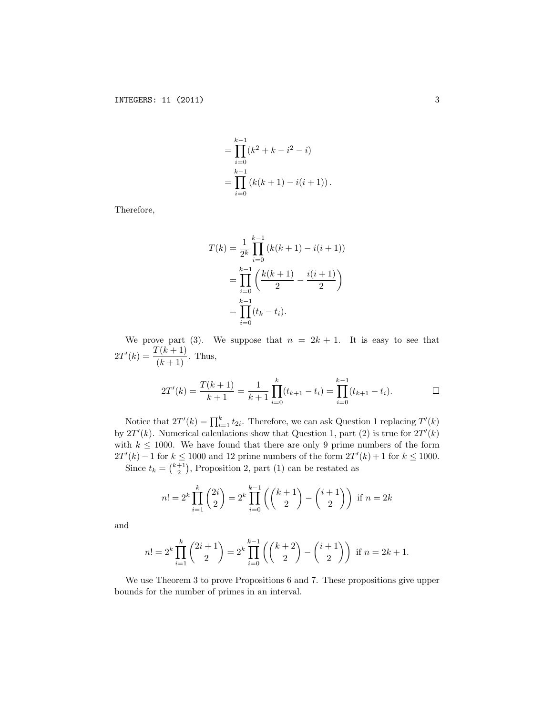$$
= \prod_{i=0}^{k-1} (k^{2} + k - i^{2} - i)
$$
  
= 
$$
\prod_{i=0}^{k-1} (k(k+1) - i(i+1)).
$$

Therefore,

$$
T(k) = \frac{1}{2^k} \prod_{i=0}^{k-1} (k(k+1) - i(i+1))
$$
  
= 
$$
\prod_{i=0}^{k-1} \left( \frac{k(k+1)}{2} - \frac{i(i+1)}{2} \right)
$$
  
= 
$$
\prod_{i=0}^{k-1} (t_k - t_i).
$$

We prove part (3). We suppose that  $n = 2k + 1$ . It is easy to see that  $2T'(k) = \frac{T(k+1)}{(k+1)}$ . Thus,

$$
2T'(k) = \frac{T(k+1)}{k+1} = \frac{1}{k+1} \prod_{i=0}^{k} (t_{k+1} - t_i) = \prod_{i=0}^{k-1} (t_{k+1} - t_i).
$$

Notice that  $2T'(k) = \prod_{i=1}^{k} t_{2i}$ . Therefore, we can ask Question 1 replacing  $T'(k)$ by  $2T'(k)$ . Numerical calculations show that Question 1, part (2) is true for  $2T'(k)$ with  $k \leq 1000$ . We have found that there are only 9 prime numbers of the form 2*T'*(*k*) − 1 for  $k \le 1000$  and 12 prime numbers of the form  $2T'(k) + 1$  for  $k \le 1000$ . Since  $t_k = \binom{k+1}{2}$ , Proposition 2, part (1) can be restated as

$$
n! = 2k \prod_{i=1}^{k} {2i \choose 2} = 2k \prod_{i=0}^{k-1} \left( {k+1 \choose 2} - {i+1 \choose 2} \right) \text{ if } n = 2k
$$

and

$$
n! = 2k \prod_{i=1}^{k} {2i + 1 \choose 2} = 2k \prod_{i=0}^{k-1} {k+2 \choose 2} - {i+1 \choose 2} \text{ if } n = 2k+1.
$$

We use Theorem 3 to prove Propositions 6 and 7. These propositions give upper bounds for the number of primes in an interval.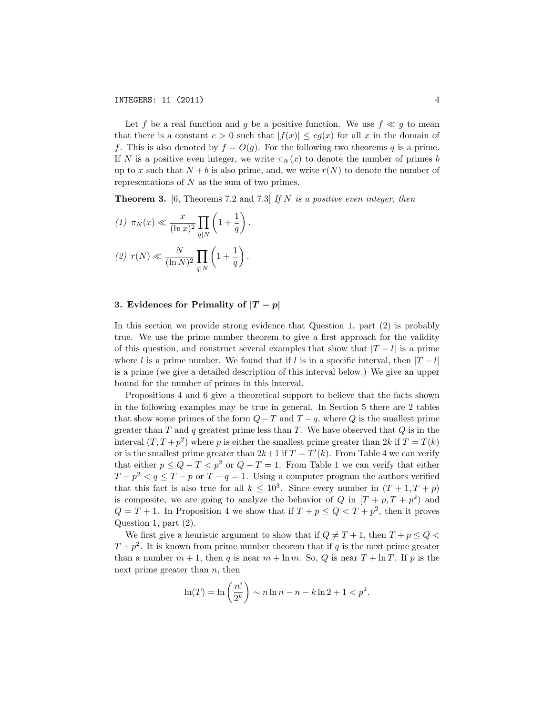Let *f* be a real function and *g* be a positive function. We use  $f \ll g$  to mean that there is a constant  $c > 0$  such that  $|f(x)| \leq cq(x)$  for all x in the domain of *f*. This is also denoted by  $f = O(g)$ . For the following two theorems *q* is a prime. If *N* is a positive even integer, we write  $\pi_N(x)$  to denote the number of primes *b* up to *x* such that  $N + b$  is also prime, and, we write  $r(N)$  to denote the number of representations of *N* as the sum of two primes.

Theorem 3. [6, Theorems 7.2 and 7.3] *If N is a positive even integer, then*

$$
(1) \ \pi_N(x) \ll \frac{x}{(\ln x)^2} \prod_{q|N} \left(1 + \frac{1}{q}\right).
$$

$$
(2) \ r(N) \ll \frac{N}{(\ln N)^2} \prod_{q|N} \left(1 + \frac{1}{q}\right).
$$

### 3. Evidences for Primality of  $|T-p|$

In this section we provide strong evidence that Question 1, part (2) is probably true. We use the prime number theorem to give a first approach for the validity of this question, and construct several examples that show that *|T* − *l|* is a prime where *l* is a prime number. We found that if *l* is in a specific interval, then  $|T - l|$ is a prime (we give a detailed description of this interval below.) We give an upper bound for the number of primes in this interval.

Propositions 4 and 6 give a theoretical support to believe that the facts shown in the following examples may be true in general. In Section 5 there are 2 tables that show some primes of the form  $Q - T$  and  $T - q$ , where  $Q$  is the smallest prime greater than *T* and *q* greatest prime less than *T*. We have observed that *Q* is in the interval  $(T, T + p^2)$  where *p* is either the smallest prime greater than 2*k* if  $T = T(k)$ or is the smallest prime greater than  $2k+1$  if  $T = T'(k)$ . From Table 4 we can verify that either  $p \leq Q - T < p^2$  or  $Q - T = 1$ . From Table 1 we can verify that either  $T - p^2 < q \leq T - p$  or  $T - q = 1$ . Using a computer program the authors verified that this fact is also true for all  $k < 10^3$ . Since every number in  $(T + 1, T + p)$ is composite, we are going to analyze the behavior of *Q* in  $[T + p, T + p^2]$  and  $Q = T + 1$ . In Proposition 4 we show that if  $T + p \le Q < T + p^2$ , then it proves Question 1, part (2).

We first give a heuristic argument to show that if  $Q \neq T+1$ , then  $T + p \leq Q$  $T + p^2$ . It is known from prime number theorem that if *q* is the next prime greater than a number  $m + 1$ , then *q* is near  $m + \ln m$ . So, *Q* is near  $T + \ln T$ . If *p* is the next prime greater than *n*, then

$$
\ln(T) = \ln\left(\frac{n!}{2^k}\right) \sim n \ln n - n - k \ln 2 + 1 < p^2.
$$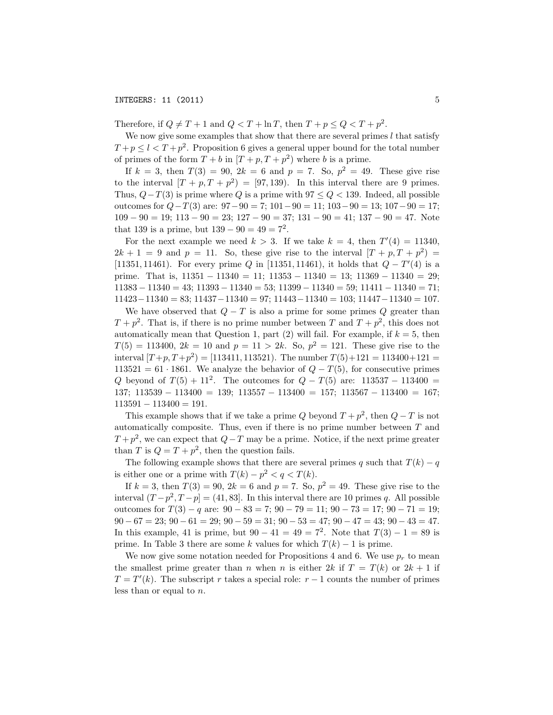### **INTEGERS: 11 (2011)** 5

Therefore, if  $Q \neq T+1$  and  $Q < T + \ln T$ , then  $T + p \leq Q < T + p^2$ .

We now give some examples that show that there are several primes *l* that satisfy  $T + p \le l < T + p^2$ . Proposition 6 gives a general upper bound for the total number of primes of the form  $T + b$  in  $[T + p, T + p^2)$  where *b* is a prime.

If  $k = 3$ , then  $T(3) = 90$ ,  $2k = 6$  and  $p = 7$ . So,  $p^2 = 49$ . These give rise to the interval  $[T + p, T + p^2] = [97, 139)$ . In this interval there are 9 primes. Thus,  $Q-T(3)$  is prime where  $Q$  is a prime with  $97 \leq Q < 139$ . Indeed, all possible outcomes for *Q*−*T*(3) are: 97−90 = 7; 101−90 = 11; 103−90 = 13; 107−90 = 17;  $109 - 90 = 19$ ;  $113 - 90 = 23$ ;  $127 - 90 = 37$ ;  $131 - 90 = 41$ ;  $137 - 90 = 47$ . Note that 139 is a prime, but  $139 - 90 = 49 = 7^2$ .

For the next example we need  $k > 3$ . If we take  $k = 4$ , then  $T'(4) = 11340$ ,  $2k + 1 = 9$  and  $p = 11$ . So, these give rise to the interval  $[T + p, T + p^2] =$ [11351*,* 11461). For every prime *Q* in [11351*,* 11461), it holds that *Q* − *T*" (4) is a prime. That is,  $11351 - 11340 = 11$ ;  $11353 - 11340 = 13$ ;  $11369 - 11340 = 29$ ; 11383 − 11340 = 43; 11393 − 11340 = 53; 11399 − 11340 = 59; 11411 − 11340 = 71; 11423−11340 = 83; 11437−11340 = 97; 11443−11340 = 103; 11447−11340 = 107.

We have observed that  $Q - T$  is also a prime for some primes  $Q$  greater than  $T + p^2$ . That is, if there is no prime number between *T* and  $T + p^2$ , this does not automatically mean that Question 1, part  $(2)$  will fail. For example, if  $k = 5$ , then  $T(5) = 113400, 2k = 10$  and  $p = 11 > 2k$ . So,  $p^2 = 121$ . These give rise to the interval  $[T+p, T+p^2] = [113411, 113521]$ . The number  $T(5)+121 = 113400+121$ 113521 = 61 · 1861. We analyze the behavior of  $Q - T(5)$ , for consecutive primes *Q* beyond of  $T(5) + 11^2$ . The outcomes for  $Q - T(5)$  are: 113537 – 113400 = 137; 113539 − 113400 = 139; 113557 − 113400 = 157; 113567 − 113400 = 167;  $113591 - 113400 = 191.$ 

This example shows that if we take a prime *Q* beyond  $T + p^2$ , then  $Q - T$  is not automatically composite. Thus, even if there is no prime number between *T* and  $T + p^2$ , we can expect that  $Q - T$  may be a prime. Notice, if the next prime greater than *T* is  $Q = T + p^2$ , then the question fails.

The following example shows that there are several primes *q* such that  $T(k) - q$ is either one or a prime with  $T(k) - p^2 < q < T(k)$ .

If  $k = 3$ , then  $T(3) = 90$ ,  $2k = 6$  and  $p = 7$ . So,  $p^2 = 49$ . These give rise to the interval  $(T - p^2, T - p) = (41, 83]$ . In this interval there are 10 primes *q*. All possible outcomes for *T*(3) − *q* are: 90 − 83 = 7; 90 − 79 = 11; 90 − 73 = 17; 90 − 71 = 19;  $90 - 67 = 23$ ;  $90 - 61 = 29$ ;  $90 - 59 = 31$ ;  $90 - 53 = 47$ ;  $90 - 47 = 43$ ;  $90 - 43 = 47$ . In this example, 41 is prime, but  $90 - 41 = 49 = 7^2$ . Note that  $T(3) - 1 = 89$  is prime. In Table 3 there are some *k* values for which  $T(k) - 1$  is prime.

We now give some notation needed for Propositions 4 and 6. We use  $p_r$  to mean the smallest prime greater than *n* when *n* is either 2*k* if  $T = T(k)$  or 2*k* + 1 if  $T = T'(k)$ . The subscript *r* takes a special role:  $r - 1$  counts the number of primes less than or equal to *n*.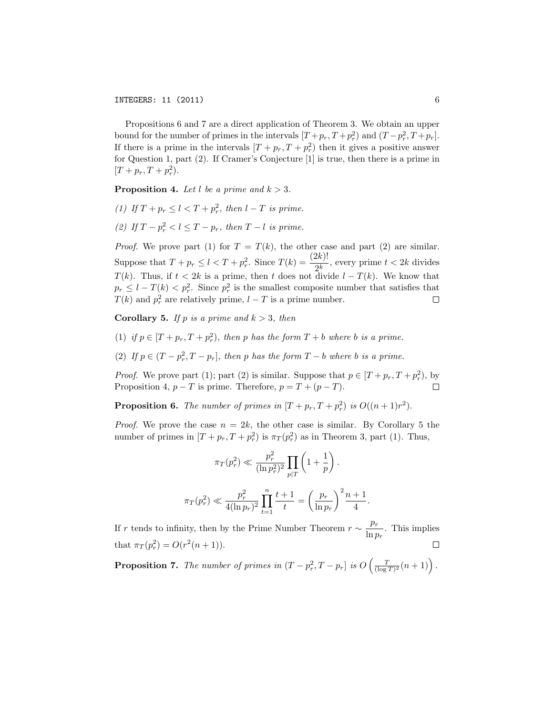Propositions 6 and 7 are a direct application of Theorem 3. We obtain an upper bound for the number of primes in the intervals  $[T + p_r, T + p_r^2]$  and  $(T - p_r^2, T + p_r]$ . If there is a prime in the intervals  $[T + p_r, T + p_r^2]$  then it gives a positive answer for Question 1, part (2). If Cramer's Conjecture [1] is true, then there is a prime in  $[T + p_r, T + p_r^2).$ 

**Proposition 4.** Let *l* be a prime and  $k > 3$ .

- *(1) If*  $T + p_r \le l < T + p_r^2$ , *then*  $l T$  *is prime.*
- *(2) If*  $T p_r^2 < l \leq T p_r$ , *then*  $T l$  *is prime.*

*Proof.* We prove part (1) for  $T = T(k)$ , the other case and part (2) are similar. Suppose that  $T + p_r \leq l < T + p_r^2$ . Since  $T(k) = \frac{(2k)!}{2^k}$ , every prime  $t < 2k$  divides *T*(*k*). Thus, if  $t < 2k$  is a prime, then *t* does not divide  $l - T(k)$ . We know that  $p_r \leq l - T(k) < p_r^2$ . Since  $p_r^2$  is the smallest composite number that satisfies that *T*(*k*) and  $p_r^2$  are relatively prime,  $l - T$  is a prime number.  $\Box$ 

**Corollary 5.** *If*  $p$  *is*  $a$   $prime$   $b$   $a$   $b$   $>$  3*, then* 

- (1) if  $p \in [T + p_r, T + p_r^2)$ , then p has the form  $T + b$  where b is a prime.
- (2) If  $p \in (T p_r^2, T p_r]$ , then p has the form  $T b$  where b is a prime.

*Proof.* We prove part (1); part (2) is similar. Suppose that  $p \in [T + p_r, T + p_r^2)$ , by Proposition 4,  $p - T$  is prime. Therefore,  $p = T + (p - T)$ .  $\Box$ 

**Proposition 6.** The number of primes in  $[T + p_r, T + p_r^2]$  is  $O((n+1)r^2)$ .

*Proof.* We prove the case  $n = 2k$ , the other case is similar. By Corollary 5 the number of primes in  $[T + p_r, T + p_r^2]$  is  $\pi_T(p_r^2)$  as in Theorem 3, part (1). Thus,

$$
\pi_T(p_r^2) \ll \frac{p_r^2}{(\ln p_r^2)^2} \prod_{p|T} \left(1 + \frac{1}{p}\right).
$$
  

$$
\pi_T(p_r^2) \ll \frac{p_r^2}{4(\ln p_r)^2} \prod_{t=1}^n \frac{t+1}{t} = \left(\frac{p_r}{\ln p_r}\right)^2 \frac{n+1}{4}.
$$

If *r* tends to infinity, then by the Prime Number Theorem  $r \sim \frac{p_r}{\ln p_r}$ . This implies that  $\pi_T(p_r^2) = O(r^2(n+1)).$ П

**Proposition 7.** The number of primes in  $(T - p_r^2, T - p_r]$  is  $O\left(\frac{T}{(\log T)^2}(n+1)\right)$ .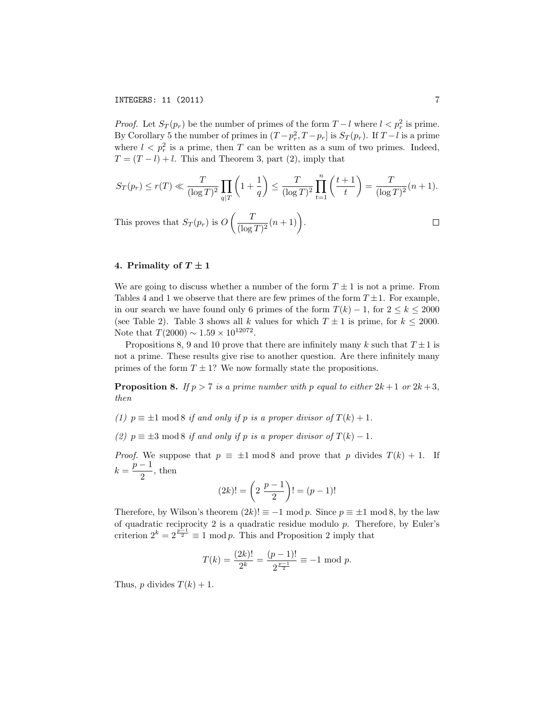*Proof.* Let  $S_T(p_r)$  be the number of primes of the form  $T - l$  where  $l < p_r^2$  is prime. By Corollary 5 the number of primes in  $(T - p_r^2, T - p_r]$  is  $S_T(p_r)$ . If  $T - l$  is a prime where  $l < p_r^2$  is a prime, then *T* can be written as a sum of two primes. Indeed,  $T = (T - l) + l$ . This and Theorem 3, part (2), imply that

$$
S_T(p_r) \le r(T) \ll \frac{T}{(\log T)^2} \prod_{q|T} \left(1 + \frac{1}{q}\right) \le \frac{T}{(\log T)^2} \prod_{t=1}^n \left(\frac{t+1}{t}\right) = \frac{T}{(\log T)^2} (n+1).
$$

This proves that  $S_T(p_r)$  is  $O\left(\frac{T}{(\log T)^2}(n+1)\right)$ .  $\Box$ 

## 4. Primality of  $T \pm 1$

We are going to discuss whether a number of the form  $T \pm 1$  is not a prime. From Tables 4 and 1 we observe that there are few primes of the form  $T \pm 1$ . For example, in our search we have found only 6 primes of the form  $T(k) - 1$ , for  $2 \leq k \leq 2000$ (see Table 2). Table 3 shows all *k* values for which  $T \pm 1$  is prime, for  $k \le 2000$ . Note that  $T(2000) \sim 1.59 \times 10^{12072}$ .

Propositions 8, 9 and 10 prove that there are infinitely many *k* such that  $T \pm 1$  is not a prime. These results give rise to another question. Are there infinitely many primes of the form  $T \pm 1$ ? We now formally state the propositions.

**Proposition 8.** *If*  $p > 7$  *is a prime number with*  $p$  *equal to either*  $2k + 1$  *or*  $2k + 3$ *, then*

*(1)*  $p \equiv \pm 1 \mod 8$  *if* and only *if*  $p$  *is* a proper divisor of  $T(k) + 1$ .

*(2)*  $p \equiv \pm 3 \mod 8$  *if* and only *if*  $p$  *is* a proper divisor of  $T(k) - 1$ .

*Proof.* We suppose that  $p \equiv \pm 1 \mod 8$  and prove that *p* divides  $T(k) + 1$ . If  $k = \frac{p-1}{2}$ , then

$$
(2k)! = \left(2 \frac{p-1}{2}\right)! = (p-1)!
$$

Therefore, by Wilson's theorem  $(2k)! \equiv -1 \mod p$ . Since  $p \equiv \pm 1 \mod 8$ , by the law of quadratic reciprocity 2 is a quadratic residue modulo *p*. Therefore, by Euler's criterion  $2^k = 2^{\frac{p-1}{2}} \equiv 1 \mod p$ . This and Proposition 2 imply that

$$
T(k) = \frac{(2k)!}{2^k} = \frac{(p-1)!}{2^{\frac{p-1}{2}}} \equiv -1 \mod p.
$$

Thus, *p* divides  $T(k) + 1$ .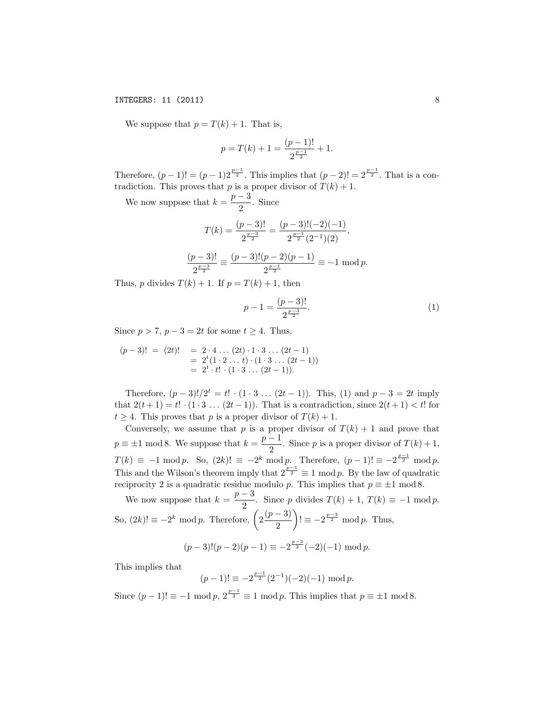### INTEGERS: 11 (2011) 8

We suppose that  $p = T(k) + 1$ . That is,

$$
p = T(k) + 1 = \frac{(p-1)!}{2^{\frac{p-1}{2}}} + 1.
$$

Therefore,  $(p-1)! = (p-1)2^{\frac{p-1}{2}}$ . This implies that  $(p-2)! = 2^{\frac{p-1}{2}}$ . That is a contradiction. This proves that *p* is a proper divisor of  $T(k) + 1$ .

We now suppose that  $k = \frac{p-3}{2}$ . Since

$$
T(k) = \frac{(p-3)!}{2^{\frac{p-3}{2}}} = \frac{(p-3)!(-2)(-1)}{2^{\frac{p-1}{2}}(2^{-1})(2)},
$$

$$
\frac{(p-3)!}{2^{\frac{p-3}{2}}} = \frac{(p-3)!(p-2)(p-1)}{2^{\frac{p-1}{2}}} = -1 \mod p.
$$

Thus, *p* divides  $T(k) + 1$ . If  $p = T(k) + 1$ , then

$$
p - 1 = \frac{(p-3)!}{2^{\frac{p-3}{2}}}.\tag{1}
$$

Since  $p > 7$ ,  $p - 3 = 2t$  for some  $t \ge 4$ . Thus,

$$
(p-3)! = (2t)! = 2 \cdot 4 \dots (2t) \cdot 1 \cdot 3 \dots (2t-1)
$$
  
= 2<sup>t</sup>(1 \cdot 2 \dots t) \cdot (1 \cdot 3 \dots (2t-1))  
= 2<sup>t</sup> \cdot t! \cdot (1 \cdot 3 \dots (2t-1)).

Therefore,  $(p-3)!/2^t = t! \cdot (1 \cdot 3 \dots (2t-1))$ . This, (1) and  $p-3 = 2t$  imply that  $2(t+1) = t! \cdot (1 \cdot 3 \dots (2t-1))$ . That is a contradiction, since  $2(t+1) < t!$  for  $t \geq 4$ . This proves that *p* is a proper divisor of  $T(k) + 1$ .

Conversely, we assume that  $p$  is a proper divisor of  $T(k) + 1$  and prove that  $p \equiv \pm 1 \mod 8$ . We suppose that  $k = \frac{p-1}{2}$ . Since *p* is a proper divisor of  $T(k) + 1$ ,  $T(k) \equiv -1 \mod p$ . So,  $(2k)! \equiv -2^k \mod p$ . Therefore,  $(p-1)! \equiv -2^{\frac{p-1}{2}} \mod p$ . This and the Wilson's theorem imply that  $2^{\frac{p-1}{2}} \equiv 1 \mod p$ . By the law of quadratic reciprocity 2 is a quadratic residue modulo *p*. This implies that  $p \equiv \pm 1 \mod 8$ .

We now suppose that  $k = \frac{p-3}{2}$ . Since *p* divides  $T(k) + 1$ ,  $T(k) \equiv -1 \mod p$ . So,  $(2k)! \equiv -2^k \mod p$ . Therefore,  $\left(2\frac{(p-3)}{2}\right)$ 2  $\lambda$  $!= -2^{\frac{p-3}{2}} \mod p$ . Thus,

$$
(p-3)!(p-2)(p-1) \equiv -2^{\frac{p-3}{2}}(-2)(-1) \bmod p.
$$

This implies that

$$
(p-1)! \equiv -2^{\frac{p-1}{2}} (2^{-1}) (-2)(-1) \bmod p.
$$

Since  $(p-1)! \equiv -1 \mod p$ ,  $2^{\frac{p-1}{2}} \equiv 1 \mod p$ . This implies that  $p \equiv \pm 1 \mod 8$ .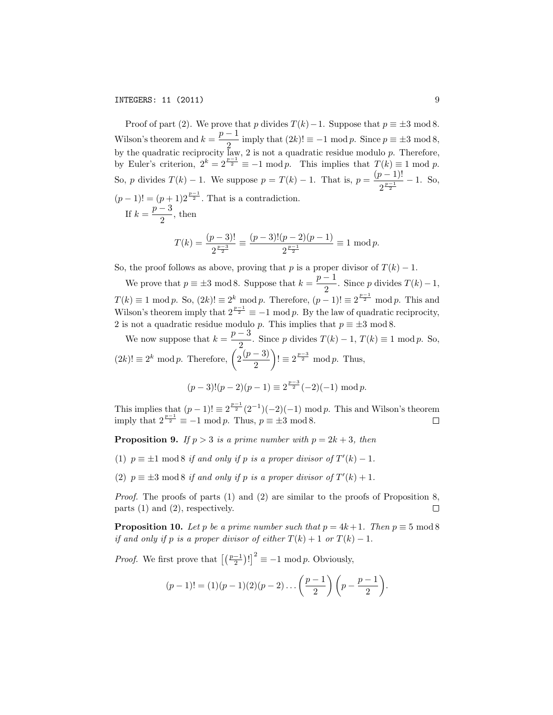INTEGERS: 11 (2011) 9

Proof of part (2). We prove that *p* divides  $T(k) - 1$ . Suppose that  $p \equiv \pm 3 \mod 8$ . Wilson's theorem and  $k = \frac{p-1}{2}$  imply that  $(2k)! \equiv -1 \mod p$ . Since  $p \equiv \pm 3 \mod 8$ , by the quadratic reciprocity law, 2 is not a quadratic residue modulo *p*. Therefore, by Euler's criterion,  $2^k = 2^{\frac{p-1}{2}} \equiv -1 \mod p$ . This implies that  $T(k) \equiv 1 \mod p$ . So, *p* divides  $T(k) - 1$ . We suppose  $p = T(k) - 1$ . That is,  $p = \frac{(p-1)!}{2^{\frac{p-1}{2}}} - 1$ . So,  $(p-1)! = (p+1)2^{\frac{p-1}{2}}$ . That is a contradiction. If  $k = \frac{p-3}{2}$ , then

$$
T(k) = \frac{(p-3)!}{2^{\frac{p-3}{2}}} \equiv \frac{(p-3)!(p-2)(p-1)}{2^{\frac{p-1}{2}}} \equiv 1 \mod p.
$$

So, the proof follows as above, proving that *p* is a proper divisor of  $T(k) - 1$ .

We prove that  $p \equiv \pm 3 \mod 8$ . Suppose that  $k = \frac{p-1}{2}$ . Since *p* divides  $T(k) - 1$ ,  $T(k) \equiv 1 \mod p$ . So,  $(2k)! \equiv 2^k \mod p$ . Therefore,  $(p-1)! \equiv 2^{\frac{p-1}{2}} \mod p$ . This and Wilson's theorem imply that  $2^{\frac{p-1}{2}} \equiv -1 \mod p$ . By the law of quadratic reciprocity, 2 is not a quadratic residue modulo *p*. This implies that  $p \equiv \pm 3 \mod 8$ .

We now suppose that  $k = \frac{p-3}{2}$ . Since *p* divides  $T(k) - 1$ ,  $T(k) \equiv 1 \mod p$ . So,  $(2k)!$  ≡  $2^k \mod p$ . Therefore,  $\left(2\frac{(p-3)}{2}\right)$ 2  $\lambda$  $!= 2^{\frac{p-3}{2}} \mod p$ . Thus,

$$
(p-3)!(p-2)(p-1) \equiv 2^{\frac{p-3}{2}}(-2)(-1) \bmod p.
$$

This implies that  $(p-1)! \equiv 2^{\frac{p-1}{2}} (2^{-1}) (-2) (-1) \mod p$ . This and Wilson's theorem imply that  $2^{\frac{p-1}{2}} \equiv -1 \mod p$ . Thus,  $p \equiv \pm 3 \mod 8$ .

**Proposition 9.** *If*  $p > 3$  *is a prime number with*  $p = 2k + 3$ *, then* 

- (1)  $p \equiv \pm 1 \mod 8$  *if* and only *if*  $p$  *is* a proper divisor of  $T'(k) 1$ .
- (2)  $p \equiv \pm 3 \mod 8$  *if* and only *if*  $p$  *is* a proper divisor of  $T'(k) + 1$ .

*Proof.* The proofs of parts (1) and (2) are similar to the proofs of Proposition 8, parts (1) and (2), respectively.  $\Box$ 

**Proposition 10.** *Let p be a prime number such that*  $p = 4k + 1$ *. Then*  $p \equiv 5 \text{ mod } 8$ *if* and only if p is a proper divisor of either  $T(k) + 1$  or  $T(k) - 1$ .

*Proof.* We first prove that  $\left[\left(\frac{p-1}{2}\right)!\right]^2 \equiv -1 \mod p$ . Obviously,

$$
(p-1)! = (1)(p-1)(2)(p-2)\dots\left(\frac{p-1}{2}\right)\left(p-\frac{p-1}{2}\right).
$$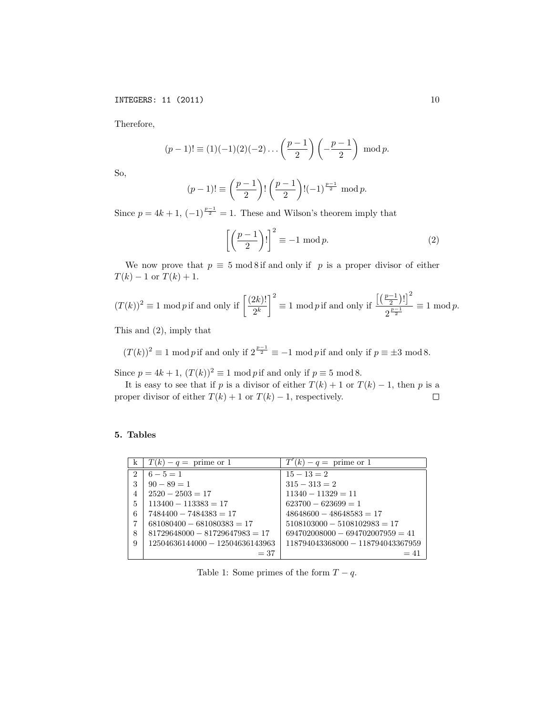Therefore,

$$
(p-1)! \equiv (1)(-1)(2)(-2)\dots \left(\frac{p-1}{2}\right) \left(-\frac{p-1}{2}\right) \mod p.
$$

So,

$$
(p-1)! \equiv \left(\frac{p-1}{2}\right)! \left(\frac{p-1}{2}\right)! (-1)^{\frac{p-1}{2}} \mod p.
$$

Since  $p = 4k + 1$ ,  $(-1)^{\frac{p-1}{2}} = 1$ . These and Wilson's theorem imply that

$$
\left[\left(\frac{p-1}{2}\right)!\right]^2 \equiv -1 \mod p. \tag{2}
$$

We now prove that  $p \equiv 5 \mod 8$  if and only if *p* is a proper divisor of either  $T(k) - 1$  or  $T(k) + 1$ .

$$
(T(k))^2 \equiv 1 \mod p \text{ if and only if } \left[\frac{(2k)!}{2^k}\right]^2 \equiv 1 \mod p \text{ if and only if } \frac{\left[\left(\frac{p-1}{2}\right)!\right]^2}{2^{\frac{p-1}{2}}} \equiv 1 \mod p.
$$

This and (2), imply that

 $(T(k))^2 \equiv 1 \mod p$  if and only if  $2^{\frac{p-1}{2}} \equiv -1 \mod p$  if and only if  $p \equiv \pm 3 \mod 8$ .

Since  $p = 4k + 1$ ,  $(T(k))^2 \equiv 1 \mod p$  if and only if  $p \equiv 5 \mod 8$ .

It is easy to see that if *p* is a divisor of either *T*(*k*) + 1 or *T*(*k*) − 1, then *p* is a oper divisor of either *T*(*k*) + 1 or *T*(*k*) − 1, respectively. proper divisor of either  $T(k) + 1$  or  $T(k) - 1$ , respectively.

## 5. Tables

| k | $T(k) - q =$ prime or 1          | $T'(k) - q =$ prime or 1           |
|---|----------------------------------|------------------------------------|
| 2 | $6 - 5 = 1$                      | $15 - 13 = 2$                      |
| 3 | $90 - 89 = 1$                    | $315 - 313 = 2$                    |
| 4 | $2520 - 2503 = 17$               | $11340 - 11329 = 11$               |
| 5 | $113400 - 113383 = 17$           | $623700 - 623699 = 1$              |
| 6 | $7484400 - 7484383 = 17$         | $48648600 - 48648583 = 17$         |
| 7 | $681080400 - 681080383 = 17$     | $5108103000 - 5108102983 = 17$     |
| 8 | $81729648000 - 81729647983 = 17$ | $694702008000 - 694702007959 = 41$ |
| 9 | 12504636144000 - 12504636143963  | 118794043368000 - 118794043367959  |
|   | $=37$                            | $=41$                              |

Table 1: Some primes of the form  $T - q$ .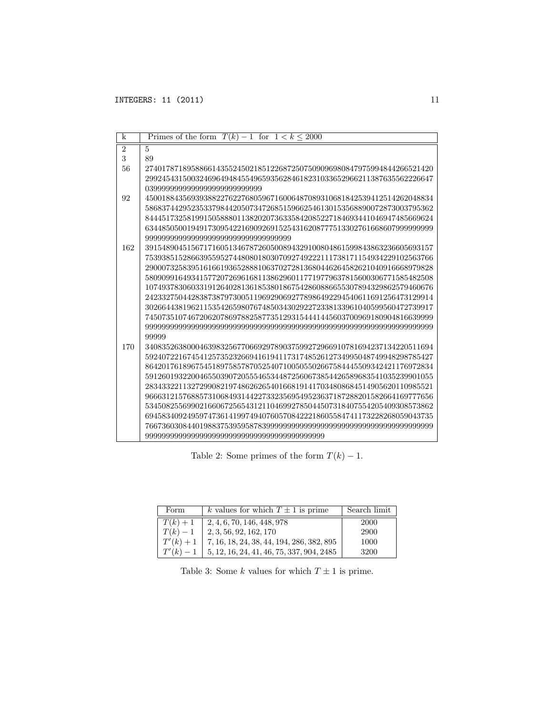| k              | Primes of the form $T(k) - 1$ for $1 < k \le 2000$                    |
|----------------|-----------------------------------------------------------------------|
| $\overline{2}$ | $\overline{5}$                                                        |
| 3              | 89                                                                    |
| 56             | 274017871895886614355245021851226872507509096980847975994844266521420 |
|                | 299245431500324696494845549659356284618231033652966211387635562226647 |
|                | 039999999999999999999999999999                                        |
| 92             | 450018843569393882276227680596716006487089310681842539412514262048834 |
|                | 586837442952353379844205073472685159662546130153568890072873003795362 |
|                | 844451732581991505888011382020736335842085227184693441046947485669624 |
|                | 634485050019491730954221690926915254316208777513302761668607999999999 |
|                | .999999999999999999999999999999999999                                 |
| 162            | 391548904515671716051346787260500894329100804861599843863236605693157 |
|                | 753938515286639559527448080180307092749222111738171154934229102563766 |
|                | 290007325839516166193652888106370272813680446264582621040916668979828 |
|                | 580909916493415772072696168113862960117719779637815600306771585482508 |
|                | 107493783060331912640281361853801867542860886655307894329862579460676 |
|                | 242332750442838738797300511969290692778986492294540611691256473129914 |
|                | 302664438196211535426598076748503430292272338133961040599560472739917 |
|                | 745073510746720620786978825877351293154441445603700969180904816639999 |
|                |                                                                       |
|                | 99999                                                                 |
| 170            | 340835263800046398325677066929789037599272966910781694237134220511694 |
|                | 592407221674541257352326694161941173174852612734995048749948298785427 |
|                | 864201761896754518975857870525407100505502667584445509342421176972834 |
|                | 591260193220046550390720555465344872560673854426589683541035239901055 |
|                | 283433221132729908219748626265401668191417034808684514905620110985521 |
|                | 966631215768857310684931442273323569549523637187288201582664169777656 |
|                | 534508255699021660672565431211046992785044507318407554205409308573862 |
|                | 694583409249597473614199749407605708422218605584741173228268059043735 |
|                |                                                                       |
|                |                                                                       |

Table 2: Some primes of the form  $T(k) - 1$ .

| Form        | k values for which $T \pm 1$ is prime       | Search limit |
|-------------|---------------------------------------------|--------------|
| $T(k) + 1$  | 2, 4, 6, 70, 146, 448, 978                  | 2000         |
| $T(k)-1$    | 2, 3, 56, 92, 162, 170                      | 2900         |
| $T'(k) + 1$ | $7, 16, 18, 24, 38, 44, 194, 286, 382, 895$ | 1000         |
| $T'(k) - 1$ | $5, 12, 16, 24, 41, 46, 75, 337, 904, 2485$ | 3200         |

Table 3: Some  $k$  values for which  $T \pm 1$  is prime.